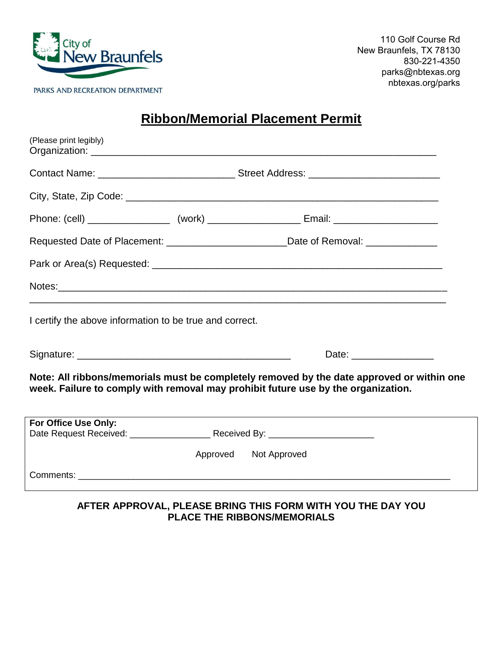

110 Golf Course Rd New Braunfels, TX 78130 830-221-4350 parks@nbtexas.org nbtexas.org/parks

## **Ribbon/Memorial Placement Permit**

| (Please print legibly)                                  |  |                                                                                                                                                                                |  |
|---------------------------------------------------------|--|--------------------------------------------------------------------------------------------------------------------------------------------------------------------------------|--|
|                                                         |  |                                                                                                                                                                                |  |
|                                                         |  |                                                                                                                                                                                |  |
|                                                         |  |                                                                                                                                                                                |  |
|                                                         |  | Requested Date of Placement: ____________________________Date of Removal: ______________                                                                                       |  |
|                                                         |  |                                                                                                                                                                                |  |
|                                                         |  |                                                                                                                                                                                |  |
| I certify the above information to be true and correct. |  |                                                                                                                                                                                |  |
|                                                         |  |                                                                                                                                                                                |  |
|                                                         |  | Note: All ribbons/memorials must be completely removed by the date approved or within one<br>week. Failure to comply with removal may prohibit future use by the organization. |  |
| For Office Use Only:                                    |  |                                                                                                                                                                                |  |
|                                                         |  |                                                                                                                                                                                |  |
|                                                         |  | Approved Not Approved                                                                                                                                                          |  |
|                                                         |  |                                                                                                                                                                                |  |

**AFTER APPROVAL, PLEASE BRING THIS FORM WITH YOU THE DAY YOU PLACE THE RIBBONS/MEMORIALS**